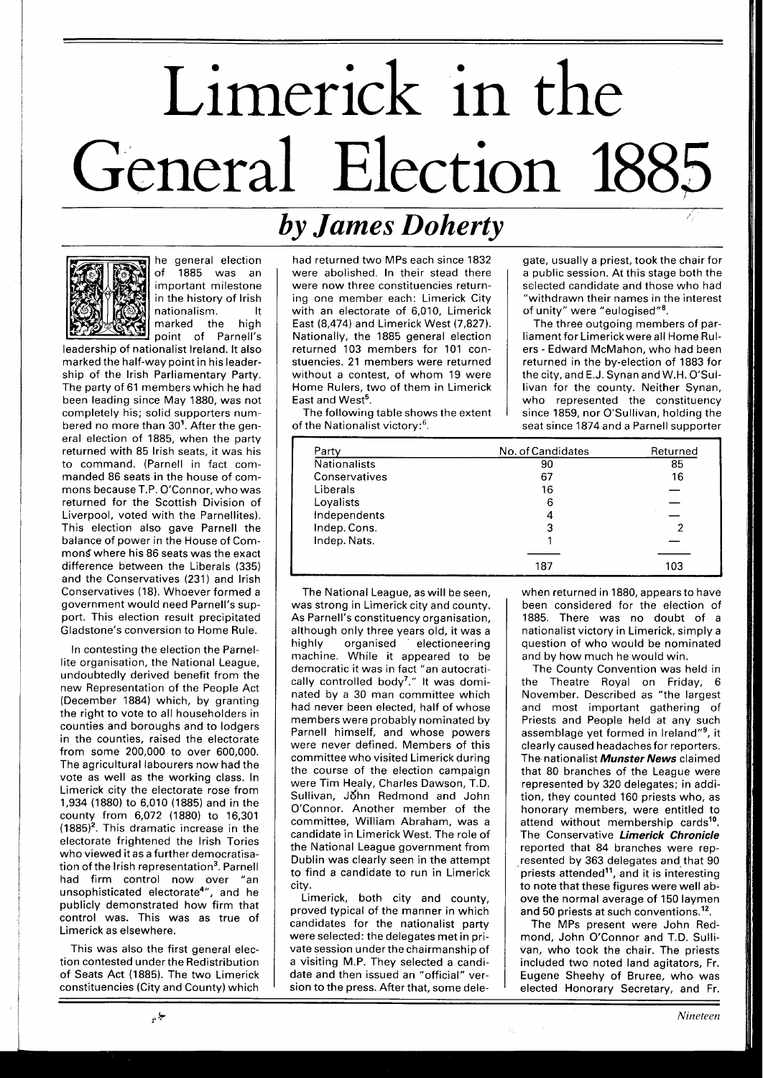## Limerick in the General Election 1885

## *by James Doherty*



he general election of 1885 was an important milestone in the history of lrish nationalism. It<br>marked the high marked the point of Parnell's

leadership of nationalist Ireland. It also marked the half-way point in his leadership of the lrish Parliamentary Party. The party of 61 members which he had been leading since May 1880, was not completely his; solid supporters numbered no more than 30'. After the general election of 1885, when the party returned with 85 lrish seats, it was his to command. (Parnell in fact commanded 86 seats in the house of commons because T.P. O'Connor, who was returned for the Scottish Division of Liverpool, voted with the Parnellites). This election also gave Parnell the balance of power in the House of Commons where his 86 seats was the exact difference between the Liberals (335) and the Conservatives (231) and lrish Conservatives (18). Whoever formed a government would need Parnell's support. This election result precipitated Gladstone's conversion to Home Rule.

In contesting the election the Parnellite organisation, the National League, undoubtedly derived benefit from the new Representation of the People Act (December 1884) which, by granting the right to vote to all householders in counties and boroughs and to lodgers in the counties, raised the electorate from some 200,000 to over 600,000. The agricultural labourers now had the vote as well as the working class. In Limerick city the electorate rose from 1,934 (1880) to 6,010 (1885) and in the county from 6,072 (1880) to 16,301  $(1885)^2$ . This dramatic increase in the electorate frightened the lrish Tories who vievved it as a further democratisation of the Irish representation<sup>3</sup>. Parnell had firm control now over "an unsophisticated electorate4", and he publicly demonstrated how firm that control was. This was as true of Limerick as elsewhere.

This was also the first general election contested under the Redistribution of Seats Act (1885). The two Limerick constituencies (City and County) which

had returned two MPS each since 1832 were abolished. In their stead there were now three constituencies returning one member each: Limerick City with an electorate of 6,010, Limerick East (8,474) and Limerick West (7,827). Nationally, the 1885 general election returned 103 members for 101 constuencies. 21 members were returned without a contest, of whom 19 were Home Rulers, two of them in Limerick East and West<sup>5</sup>.

The following table shows the extent of the Nationalist victory: $6$ .

gate, usually a priest, took the chair for a public session. At this stage both the selected candidate and those who had "withdrawn their names in the interest of unity" were "eulogised"<sup>8</sup>.

The three outgoing members of parliament for Limerickwere all Home Rulers - Edward McMahon, who had been returned in the by-election of 1883 for the city, and E.J. Synan and W.H. O'Sullivan for the county. Neither Synan, who represented the constituency since 1859, nor O'Sullivan, holding the seat since 1874 and a Parnell supporter

| Party               | No. of Candidates | Returned |
|---------------------|-------------------|----------|
| <b>Nationalists</b> | 90                | 85       |
| Conservatives       | 67                | 16       |
| Liberals            | 16                |          |
| Loyalists           | 6                 |          |
| Independents        | 4                 |          |
| Indep. Cons.        | 3                 |          |
| Indep. Nats.        |                   |          |
|                     |                   |          |
|                     | 187               | 103      |

The National League, as will be seen, was strong in Limerick city and county. As Parnell's constituency organisation, although only three years old, it was a highly organised ' electioneering machine. While it appeared to be democratic it was in fact "an autocratically controlled body7." It was dominated by a 30 man committee which had never been elected, half of whose members were probably nominated by Parnell himself, and whose powers were never defined. Members of this committee who visited Limerick during the course of the election campaign were Tim Healy, Charles Dawson, T.D. Sullivan, John Redmond and John O'Connor. Another member of the committee, William Abraham, was a candidate in Limerick West. The role of the National League government from Dublin was clearly seen in the attempt to find a candidate to run in Limerick city.

Limerick, both city and county, proved typical of the manner in which candidates for the nationalist party were selected: the delegates met in private session underthe chairmanship of a visiting M.P. They selected a candidate and then issued an "official" version to the press. After that, some delewhen returned in 1880, appears to have been considered for the election of 1885. There was no doubt of a nationalist victory in Limerick, simply a question of who would be nominated and by how much he would win.

The County Convention was held in the Theatre Royal on Friday, 6 November. Described as "the largest and most important gathering of Priests and People held at any such assemblage yet formed in Ireland"<sup>9</sup>, it clearly caused headaches for reporters. The nationalist **Munster News** claimed that 80 branches of the League were represented by 320 delegates; in addition, they counted 160 priests who, as honorary members, were entitled to attend without membership cards<sup>10</sup>. The Conservative **Limerick Chronicle**  reported that 84 branches were represented by 363 delegates and that 90 priests attended<sup>11</sup>, and it is interesting to note that these figures were well above the normal average of 150 laymen and 50 priests at such conventions.<sup>12</sup>.

The MPS present were John Redmond, John O'Connor and T.D. Sullivan, who took the chair. The priests included two noted land agitators, Fr. Eugene Sheehy of Bruree, who- was elected Honorary Secretary, and Fr.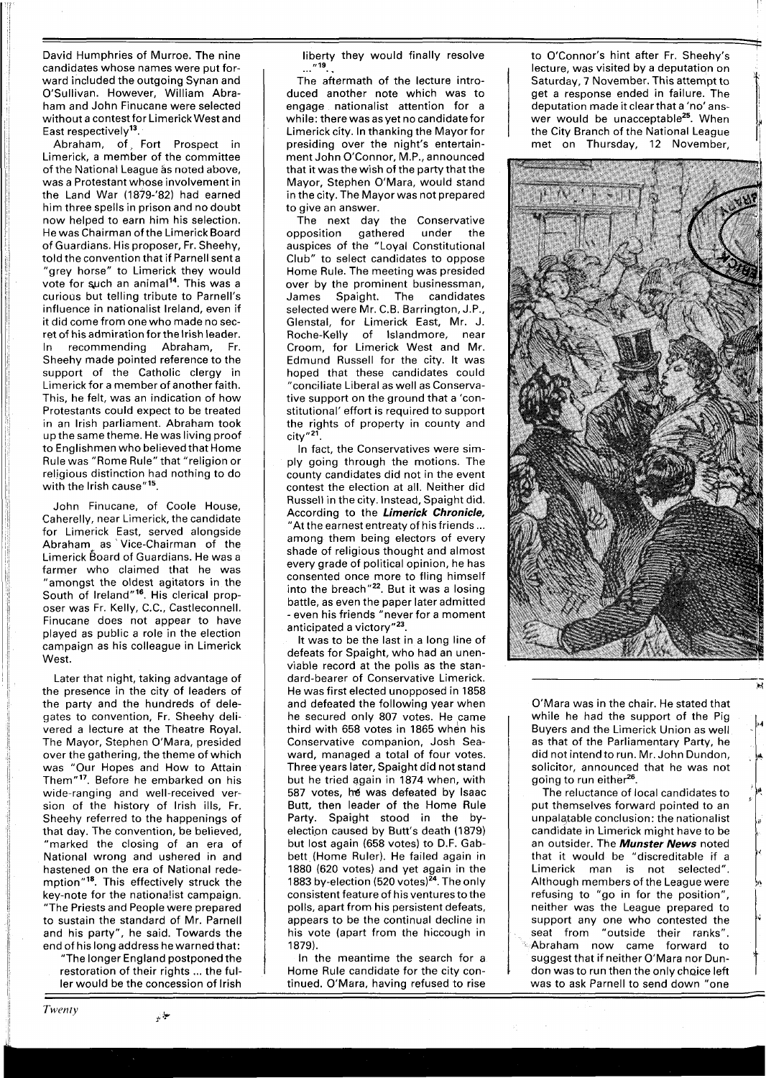David Humphries of Murroe. The nine candidates whose names were put forward included the outgoing Synan and O'Sullivan. However, William Abraham and John Finucane were selected without a contest for Limerick West and East respectively<sup>13</sup>.

Abraham, of Fort Prospect in Limerick, a member of the committee of the National League as noted above, was a Protestant whose involvement in the Land War (1879-'82) had earned him three spells in prison and no doubt now helped to earn him his selection. He was Chairman of the Limerick Board of Guardians. His proposer, Fr. Sheehy, told the convention that if Parnell sent a "grey horse" to Limerick they would vote for such an animal<sup>14</sup>. This was a curious but telling tribute to Parnell's influence in nationalist Ireland, even if it did come from one who made no secret of his admiration for the lrish leader. In recommending Abraham, Fr. Sheehy made pointed reference to the support of the Catholic clergy in Limerick for a member of another faith. This, he felt, was an indication of how Protestants could expect to be treated in an lrish parliament. Abraham took up thesame theme. He was living proof to Englishmen who believed that Home Rule was "Rome Rule" that "religion or religious distinction had nothing to do with the Irish cause" $15$ .

John Finucane, of Coole House, Caherelly, near Limerick, the candidate for Limerick East, served alongside Abraham as Vice-Chairman of the Limerick Board of Guardians. He was a farmer who claimed that he was "amongst the oldest agitators in the South of Ireland"16. His clerical proposer was Fr. Kelly, C.C., Castleconnell. Finucane does not appear to have played as public a role in the election campaign as his colleague in Limerick West.

Later that night, taking advantage of the presence in the city of leaders of the party and the hundreds of delegates to convention, Fr. Sheehy delivered a lecture at the Theatre Royal. The Mayor, Stephen O'Mara, presided over the gathering, the theme of which was "Our Hopes and How to Attain Them"<sup>17</sup>. Before he embarked on his wide-ranging and well-received version of the history of lrish ills, Fr. Sheehy referred to the happenings of that day. The convention, be believed, "marked the closing of an era of National wrong and ushered in and hastened on the era of National redemption"18. This effectively struck the key-note for the nationalist campaign. "The Priests and People were prepared to sustain the standard of Mr. Parnell and his party", he said. Towards the end of his long address he warned that:

"The longer England postponed the restoration of their rights ... the fuller would be the concession of lrish

حياتي

Twenty

liberty they would finally resolve<br>...."<sup>19</sup>...

The aftermath of the lecture introduced another note which was to engage nationalist attention for a while: there was as yet no candidate for Limerick city. In thanking the Mayor for presiding over the night's entertainment John O'Connor, M.P., announced that it was the wish of the party that the Mayor, Stephen O'Mara, would stand in the city. The Mayor was not prepared to give an answer.

The next day the Conservative opposition gathered under the auspices of the "Loyal Constitutional Club" to select candidates to oppose Home Rule. The meeting was presided over by the prominent businessman, James Spaight. The candidates selected were Mr. C.B. Barrington, J.P., Glenstal, for Limerick East, Mr. J. Roche-Kelly of Islandmore, near Croom, for Limerick West and Mr. Edmund Russell for the city. It was hoped that these candidates could "conciliate Liberal as well as Conservative support on the ground that a 'con-<br>stitutional' effort is required to support the rights of property in county and  $city''<sup>21</sup>$ .

In fact, the Conservatives were simply going through the motions. The county candidates did not in the event contest the election at all. Neither did Russell in the city. Instead, Spaight did. According to the **Limerick Chronicle,** "At the earnest entreaty of his friends... among them being electors of every shade of religious thought and almost every grade of political opinion, he has consented once more to fling himself into the breach" $^{22}$ . But it was a losing battle, as even the paper later admitted - even his friends "never for a moment anticipated a victory"<sup>23</sup>.

It was to be the last in a long line of defeats for Spaight, who had an unenviable record at the polls as the standard-bearer of Conservative Limerick. He was first elected unopposed in 1858 and defeated the following year when he secured only 807 votes. He came third with 658 votes in 1865 when his Conservative companion, Josh Seaward, managed a total of four votes. Three years later, Spaight did not stand but he tried again in 1874 when, with 587 votes, he was defeated by Isaac Butt, then leader of the Home Rule Party. Spaight stood in the byelection caused by Butt's death (1879) but lost again (658 votes) to D.F. Gabbett (Home Ruler). He failed again in 1880 (620 votes) and yet again in the 1883 by-election (520 votes) $^{24}$ . The only consistent feature of his ventures to the polls, apart from his persistent defeats, appears to be the continual decline in his vote (apart from the hiccough in 1879).

In the meantime the search for a Home Rule candidate for the city continued. O'Mara, having refused to rise to O'Connor's hint after Fr. Sheehy's lecture, was visited by a deputation on Saturday, 7 November. This attempt to get a response ended in failure. The deputation made it clear that a 'no' answer would be unacceptable<sup>25</sup>. When the City Branch of the National League met on Thursday, 12 November,



O'Mara was in the chair. He stated that while he had the support of the Pig Buyers and the Limerick Union as well as that of the Parliamentary Party, he did not intend to run. Mr. John Dundon, solicitor, announced that he was not going to run either<sup>26</sup>.

The reluctance of local candidates to put themselves forward pointed to an unpalajable conclusion: the nationalist candidate in Limerick might have to be an outsider. The **Munster News** noted that it would be "discreditable if a Limerick man is not selected". Although members of the League were refusing to "go in for the position", neither was the League prepared to support any one who contested the seat from "outside their ranks". Abraham now came forward to suggest that if neither O'Mara nor Dundon was to run then the only choice left was to ask Parnell to send down "one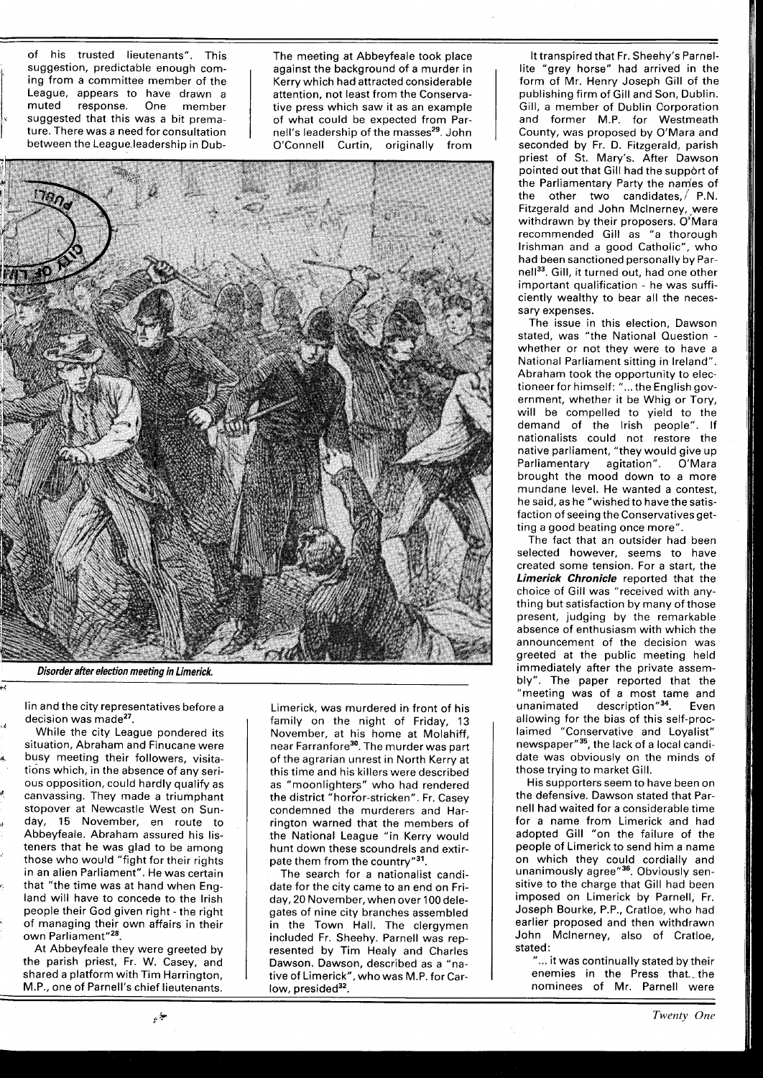of his trusted lieutenants". This suggestion, predictable enough coming from a committee member of the League, appears to have drawn a muted response. One member suggested that this was a bit premature. There was a need for consultation between the League leadership in Dub-

The meeting at Abbeyfeale took place against the background of a murder in Kerry which had attracted considerable attention, not least from the Conservative press which saw it as an example of what could be expected from Parnell's leadership of the masses<sup>29</sup>. John O'Connell Curtin, originally from



**Disorder after election meeting in Limerick,** 

lin and the city representatives before a decision was made<sup>27</sup>.

While the city League pondered its situation, Abraham and Finucane were busy meeting their followers, visitations which, in the absence of any serious opposition, could hardly qualify as canvassing. They made a triumphant stopover at Newcastle West on Sunday, 15 November, en route to Abbeyfeale. Abraham assured his listeners that he was glad to be among those who would "fight for their rights in an alien Parliament". He was certain that "the time was at hand when England will have to concede to the lrish people their God given right - the right of managing their own affairs in their own Parliament"<sup>28</sup>.

At Abbeyfeale they were greeted by the parish priest, Fr. W. Casey, and shared a platform with Tim Harrington, M.P., one of Parnell's chief lieutenants. Limerick, was murdered in front of his family on the night of Friday, 13 November, at his home at Molahiff, near Farranfore<sup>30</sup>. The murder was part of the agrarian unrest in North Kerry at this time and his killers were described as "moonlighters" who had rendered the district "horror-stricken". Fr. Casey condemned the murderers and Harrington warned that the members of the National League "in Kerry would hunt down these scoundrels and extirpate them from the country"31.

The search for a nationalist candidate for the city came to an end on Friday, 20 November, when over 100 delegates of nine city branches assembled in the Town Hall. The clergymen included Fr. Sheehy. Parnell was represented by Tim Healy and Charles Dawson. Dawson, described as a "native of Limerick", who was M.P. for Carlow, presided<sup>32</sup>.

It transpired that Fr. Sheehy's Parnellite "grey horse" had arrived in the form of Mr. Henry Joseph Gill of the publishing firm of Gill and Son, Dublin. Gill, a member of Dublin Corporation and former M.P. for Westmeath County, was proposed by O'Mara and seconded by Fr. D. Fitzgerald, parish priest of St. Mary's. After Dawson pointed out that Gill had the support of the Parliamentary Party the nam'es of the other two candidates,/ P.N. Fitzgerald and John McInerney, were withdrawn by their proposers. O'Mara recommended Gill as "a thorough Irishman and a good Catholic", who had been sanctioned personally by Parnell<sup>33</sup>. Gill, it turned out, had one other important qualification - he was sufficiently wealthy to bear all the necessary expenses.

The issue in this election, Dawson stated, was "the National Question whether or not they were to have a National Parliament sitting in Ireland". Abraham took the opportunity to electioneer for himself: "... the English government, whether it be Whig or Tory, will be compelled to yield to the demand of the lrish people". If nationalists could not restore the native parliament, "they would give up Parliamentary agitation". O'Mara brought the mood down to a more mundane level. He wanted a contest, he said, as he "wished to have the satisfaction of seeing the Conservatives getting a good beating once more".

The fact that an outsider had been selected however, seems to have created some tension. For a start, the **Limerick Chronicle** reported that the choice of Gill was "received with anything but satisfaction by many of those present, judging by the remarkable absence of enthusiasm with which the announcement of the decision was greeted at the public meeting held immediately after the private assembly". The paper reported that the "meeting was of a most tame and unanimated description"<sup>34</sup>. Even allowing for the bias of this self-proclaimed "Conservative and Loyalist" newspaper"<sup>35</sup>, the lack of a local candidate was obviously on the minds of those trying to market Gill.

His supporters seem to have been on the defensive. Dawson stated that Parnell had waited for a considerable time for a name from Limerick and had adopted Gill "on the failure of the people of Limerick to send him a name on which they could cordially and unanimously agree"<sup>36</sup>. Obviously sensitive to the charge that Gill had been imposed on Limerick by Parnell, Fr. Joseph Bourke, P.P., Cratloe, who had earlier proposed and then withdrawn John Mclnerney, also of Cratloe, stated:

"... it was continually stated by their enemies in the Press that the nominees of Mr. Parnell were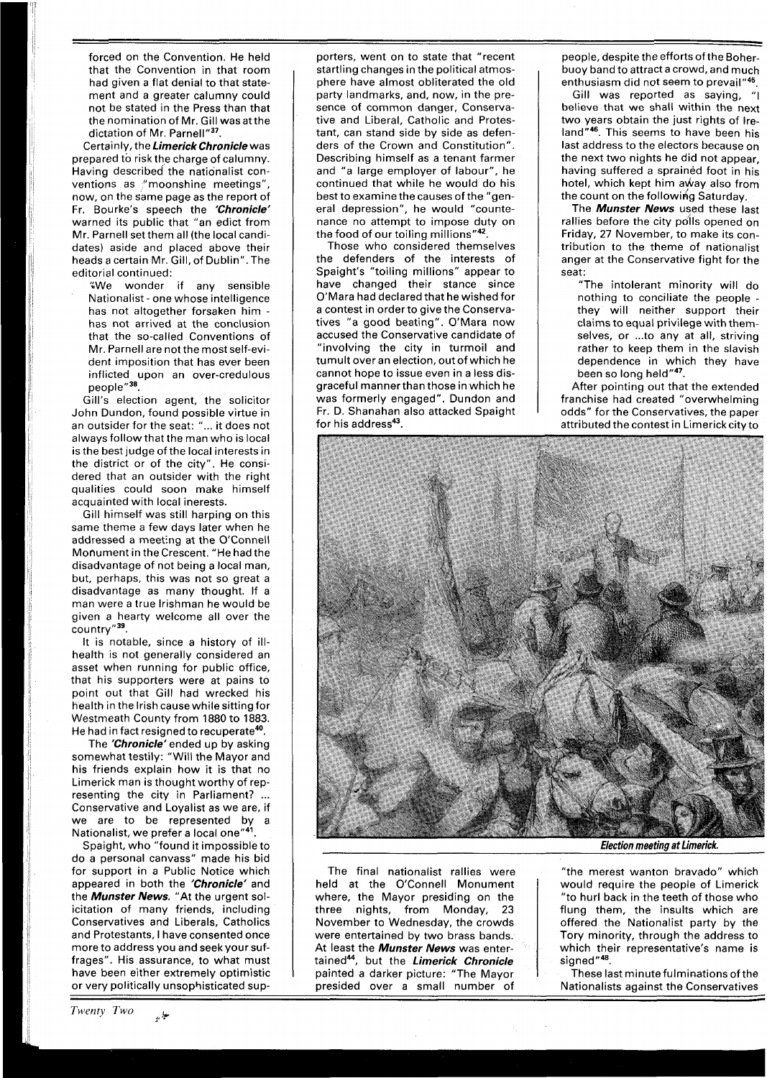forced on the Convention. He held that the Convention in that room had given a flat denial to that statement and a greater calumny could not be stated in the Press than that the nomination of Mr. Gill wasatthe dictation of Mr. Parnell"<sup>37</sup>.

Certainly, the **Limerick Chronicle** was prepared to risk the charge of calumny. Having described the nationalist conventions as "moonshine meetings", now, on the same page as the report of Fr. Bourke's speech the **'Chronicle'**  warned its public that "an edict from Mr. Parnell set them all (the local candidates) aside and placed above their heads a certain Mr. Gill, of Dublin". The editorial continued:

We wonder if any sensible Nationalist - one whose intelligence has not altogether forsaken him has not arrived at the conclusion that the so-called Conventions of Mr. Parnell are not the most self-evident imposition that has ever been inflicted upon an over-credulous people"38.

Gill's election agent, the solicitor John Dundon, found possible virtue in an outsider for the seat: " ... it does not always follow that the man who is local is the best judge of the local interests in the district or of the city". He considered that an outsider with the right qualities could soon make himself acquainted with local inerests.

Gill himself was still harping on this same theme a few days later when he addressed a meeting at the O'Connell Monument in the Crescent. "He had the disadvantage of not being a local man, but, perhaps, this was not so great a disadvantage as many thought. If a man were a true Irishman he would be given a hearty welcome all over the country"<sup>39</sup>.

It is notable, since a history of illhealth is not generally considered an asset when running for public office, that his supporters were at pains to point out that Gill had wrecked his health in the Irish cause while sitting for Westmeath County from **1880** to **1883.**  He had in fact resigned to recuperate<sup>40</sup>.

The **'Chronicle'ended** up by asking somewhat testily: "Will the Mayor and his friends explain how it is that no Limerick man is thought worthy of representing the city in Parliament? ... Conservative and Loyalist as we are, if we are to be represented by a Nationalist, we prefer a local one"<sup>41</sup>

Spaight, who "found it impossible to do a personal canvass" made his bid for support in a Public Notice which appeared in both the **'Chronicle'** and the **Munster News.** "At the urgent solicitation of many friends, including Conservatives and Liberals, Catholics and Protestants, I have consented once more to address you and seek your suffrages". His assurance, to what must have been either extremely optimistic or very politically unsophisticated sup-

porters, went on to state that "recent startling changes in the political atmosphere have almost obliterated the old party landmarks, and, now, in the presence of common danger, Conservative and Liberal, Catholic and Protestant, can stand side by side as defenders of the Crown and Constitution". Describing himself as a tenant farmer and "a large employer of labour", he continued that while he would do his best to examine the causes of the "general depression", he would "countenance no attempt to impose duty on the food of our toiling millions"<sup>42</sup>.

Those who considered themselves the defenders of the interests of Spaight's "toiling millions" appear to have changed their stance since O'Mara had declared that he wished for a contest in order to give the Conservatives "a good beating". O'Mara now accused the Conservative candidate of "involving the city in turmoil and tumult over an election, out of which he cannot hope to issue even in a less disgraceful mannerthan those in which he was formerly engaged". Dundon and Fr. D. Shanahan also attacked Spaight for his address<sup>43</sup>.

people, despite the efforts of the Boherbuoy band to attract a crowd, and much enthusiasm did not seem to prevail"45.

Gill was reported as saying, "I believe that we shall within the next two years obtain the just rights of Ireland"<sup>46</sup>. This seems to have been his last address to the electors because on the next two nights he did not appear, having suffered a sprained foot in his hotel, which kept him away also from the count on the following Saturday.

The **Munster News** used these last rallies before the city po'lls opened on Friday, 27 November, to make its contribution to the theme of nationalist anger at the Conservative fight for the seat:

"The intolerant minority will do nothing to conciliate the people they will neither support their claims to equal privilege with themselves, or ... to any at all, striving rather to keep them in the slavish dependence in which they have been so long held"47.

After pointing out that the extended franchise had created "overwhelming odds" for the Conservatives, the paper attributed the contest in Limerick city to



The final nationalist rallies were held at the O'Connell Monument where, the Mayor presiding on the three nights, from Monday, 23 November to Wednesday, the crowds were entertained by two brass bands. At least the **Munster News** was entertained", but the **Limerick Chronicle**  painted a darker picture: "The Mayor presided over a small number of

**Election meeting at Limerick.** 

"the merest wanton bravado" which would require the people of Limerick "to hurl back in the teeth of those who flung them, the insults which are offered the Nationalist party by the Tory minority, through the address to which their representative's name is signed"<sup>48</sup>.

These last minute fulminations of the Nationalists against the Conservatives